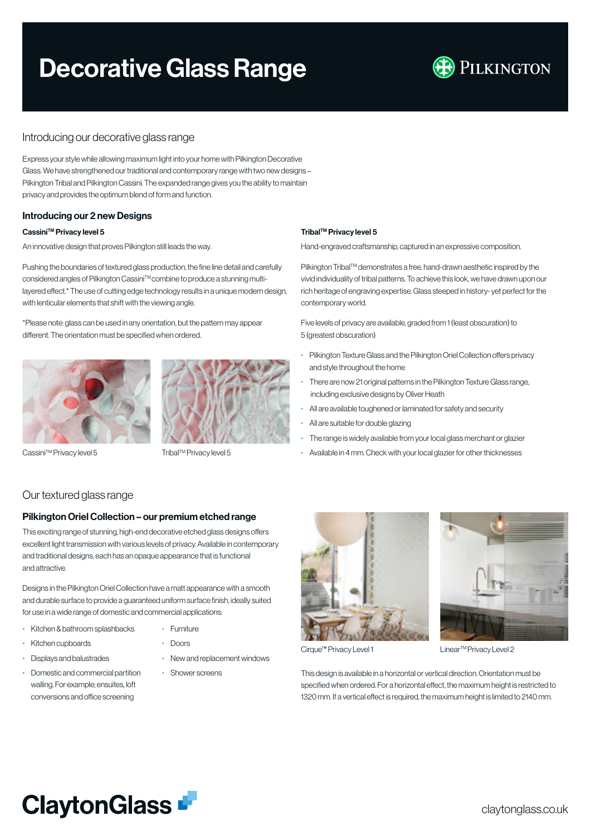# Decorative Glass Range



# Introducing our decorative glass range

Express your style while allowing maximum light into your home with Pilkington Decorative Glass. We have strengthened our traditional and contemporary range with two new designs – Pilkington Tribal and Pilkington Cassini. The expanded range gives you the ability to maintain privacy and provides the optimum blend of form and function.

## Introducing our 2 new Designs

### Cassini™ Privacy level 5

An innovative design that proves Pilkington still leads the way.

Pushing the boundaries of textured glass production, the fine line detail and carefully considered angles of Pilkington Cassini™ combine to produce a stunning multilayered effect.\* The use of cutting edge technology results in a unique modern design, with lenticular elements that shift with the viewing angle.

\*Please note: glass can be used in any orientation, but the pattern may appear different. The orientation must be specified when ordered.



Cassini™ Privacy level 5



Tribal™ Privacy level 5

# Our textured glass range

# Pilkington Oriel Collection – our premium etched range

This exciting range of stunning, high-end decorative etched glass designs offers excellent light transmission with various levels of privacy. Available in contemporary and traditional designs, each has an opaque appearance that is functional and attractive.

Designs in the Pilkington Oriel Collection have a matt appearance with a smooth and durable surface to provide a guaranteed uniform surface finish, ideally suited for use in a wide range of domestic and commercial applications:

- Kitchen & bathroom splashbacks
- Kitchen cupboards
- Displays and balustrades
- Domestic and commercial partition walling. For example; ensuites, loft conversions and office screening
- Furniture
- Doors
- New and replacement windows
- Shower screens

#### Tribal™ Privacy level 5

Hand-engraved craftsmanship, captured in an expressive composition.

Pilkington Tribal™ demonstrates a free, hand-drawn aesthetic inspired by the vivid individuality of tribal patterns. To achieve this look, we have drawn upon our rich heritage of engraving expertise. Glass steeped in history- yet perfect for the contemporary world.

Five levels of privacy are available, graded from 1 (least obscuration) to 5 (greatest obscuration)

- Pilkington Texture Glass and the Pilkington Oriel Collection offers privacy and style throughout the home
- There are now 21 original patterns in the Pilkington Texture Glass range, including exclusive designs by Oliver Heath
- All are available toughened or laminated for safety and security
- All are suitable for double glazing
- The range is widely available from your local glass merchant or glazier
- Available in 4 mm. Check with your local glazier for other thicknesses





Cirque™ Privacy Level 1

Linear<sup>™</sup> Privacy Level 2

This design is available in a horizontal or vertical direction. Orientation must be specified when ordered. For a horizontal effect, the maximum height is restricted to 1320 mm. If a vertical effect is required, the maximum height is limited to 2140 mm.